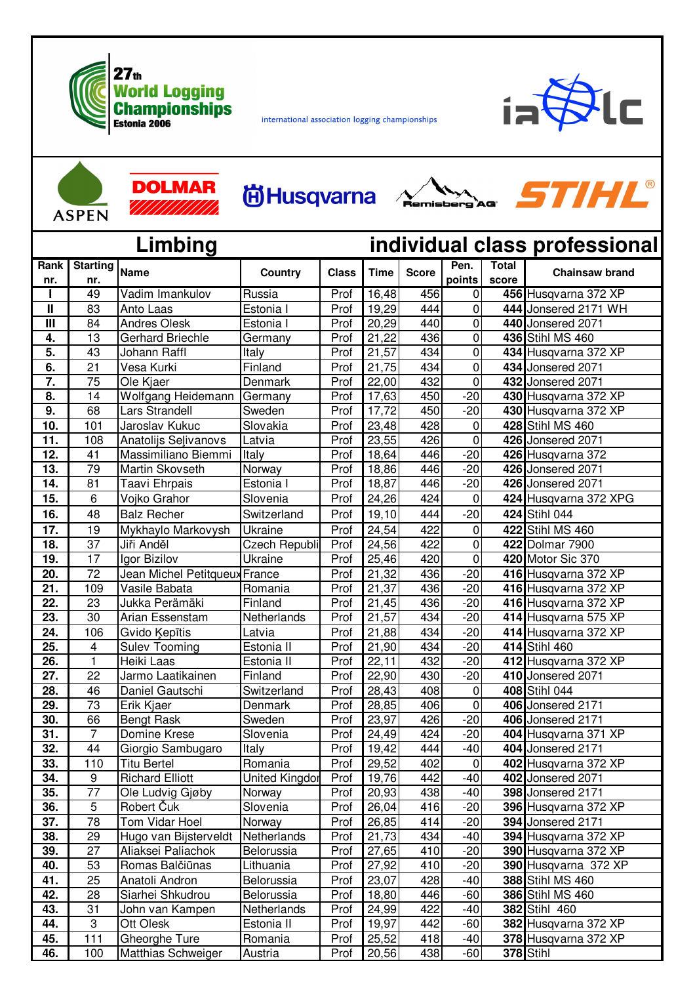

international association logging championships



| <b>ASPEN</b> |
|--------------|

 $\blacktriangle$ 

|                                          | <b>ASPEN</b>           | DOLMAR<br>/////////////       | <b>尚Husqvarna</b>     |              |                    |              | Remisbero        | STIHL®         |                          |
|------------------------------------------|------------------------|-------------------------------|-----------------------|--------------|--------------------|--------------|------------------|----------------|--------------------------|
| Limbing<br>individual class professional |                        |                               |                       |              |                    |              |                  |                |                          |
| Rank<br>nr.                              | <b>Starting</b><br>nr. | <b>Name</b>                   | Country               | <b>Class</b> | <b>Time</b>        | <b>Score</b> | Pen.<br>points   | Total<br>score | <b>Chainsaw brand</b>    |
| ı                                        | 49                     | Vadim Imankulov               | Russia                | Prof         | 16,48              | 456          | $\mathbf 0$      |                | 456 Husqvarna 372 XP     |
| Ш                                        | 83                     | Anto Laas                     | Estonia I             | Prof         | 19,29              | 444          | 0                |                | 444 Jonsered 2171 WH     |
| $\mathbf{III}$                           | 84                     | <b>Andres Olesk</b>           | Estonia I             | Prof         | 20,29              | 440          | 0                |                | 440 Jonsered 2071        |
| 4.                                       | 13                     | <b>Gerhard Briechle</b>       | Germany               | Prof         | 21,22              | 436          | 0                |                | 436 Stihl MS 460         |
| 5.                                       | 43                     | Johann Raffl                  | Italy                 | Prof         | $\overline{2}1,57$ | 434          | 0                |                | 434 Husqvarna 372 XP     |
| 6.                                       | 21                     | Vesa Kurki                    | Finland               | Prof         | 21,75              | 434          | $\mathbf 0$      |                | 434 Jonsered 2071        |
| 7.                                       | 75                     | Ole Kjaer                     | Denmark               | Prof         | 22,00              | 432          | $\mathbf 0$      |                | 432 Jonsered 2071        |
| 8.                                       | 14                     | Wolfgang Heidemann            | Germany               | Prof         | 17,63              | 450          | $-20$            |                | 430 Husqvarna 372 XP     |
| $\overline{9}$ .                         | 68                     | Lars Strandell                | Sweden                | Prof         | 17,72              | 450          | $-20$            |                | 430 Husqvarna 372 XP     |
| 10.                                      | 101                    | Jaroslav Kukuc                | Slovakia              | Prof         | 23,48              | 428          | 0                |                | 428 Stihl MS 460         |
| 11.                                      | 108                    | Anatolijs Seļivanovs          | Latvia                | Prof         | 23,55              | 426          | 0                |                | 426 Jonsered 2071        |
| 12.                                      | 41                     | Massimiliano Biemmi           | Italy                 | Prof         | 18,64              | 446          | $-20$            |                | 426 Husqvarna 372        |
| 13.                                      | 79                     | Martin Skovseth               | Norway                | Prof         | 18,86              | 446          | $-20$            |                | 426 Jonsered 2071        |
| 14.                                      | 81                     | Taavi Ehrpais                 | Estonia I             | Prof         | 18,87              | 446          | $-20$            |                | 426 Jonsered 2071        |
| 15.                                      | 6                      | Vojko Grahor                  | Slovenia              | Prof         | 24,26              | 424          | 0                |                | 424 Husqvarna 372 XPG    |
| 16.                                      | 48                     | <b>Balz Recher</b>            | Switzerland           | Prof         | 19,10              | 444          | $-20$            |                | 424 Stihl 044            |
| 17.                                      | 19                     | Mykhaylo Markovysh            | Ukraine               | Prof         | 24,54              | 422          | 0                |                | 422 Stihl MS 460         |
| 18.                                      | $\overline{37}$        | Jiři Anděl                    | Czech Republi         | Prof         | 24,56              | 422          | 0                |                | 422 Dolmar 7900          |
| 19.                                      | 17                     | Igor Bizilov                  | Ukraine               | Prof         | 25,46              | 420          | 0                |                | 420 Motor Sic 370        |
| 20.                                      | 72                     | Jean Michel Petitqueux France |                       | Prof         | 21,32              | 436          | $-20$            |                | 416 Husqvarna 372 XP     |
| 21.                                      | 109                    | Vasile Babata                 | Romania               | Prof         | 21,37              | 436          | $-20$            |                | 416 Husqvarna 372 XP     |
| 22.                                      | 23                     | Jukka Perämäki                | Finland               | Prof         | 21,45              | 436          | $-20$            |                | 416 Husqvarna 372 XP     |
| 23.                                      | 30                     | Arian Essenstam               | Netherlands           | Prof         | $\overline{2}1,57$ | 434          | $-20$            |                | 414 Husqvarna 575 XP     |
| 24.                                      | 106                    | Gvido Kepītis                 | Latvia                | Prof         | 21,88              | 434          | $-20$            |                | 414 Husqvarna 372 XP     |
| 25.                                      | 4                      | <b>Sulev Tooming</b>          | Estonia II            | Prof         | 21,90              | 434          | $-20$            |                | 414 Stihl 460            |
| 26.                                      | $\mathbf{1}$           | Heiki Laas                    | Estonia II            | Prof         | 22,11              | 432          | $-20$            |                | 412 Husqvarna 372 XP     |
| 27.                                      | 22                     | Jarmo Laatikainen             | Finland               | Prof         | 22,90              | 430          | $-20$            |                | 410 Jonsered 2071        |
| 28.                                      | 46                     | Daniel Gautschi               | Switzerland           | Prof         | 28,43              | 408          | 0                |                | 408 Stihl 044            |
| 29.                                      | 73                     | Erik Kjaer                    | Denmark               | Prof         | 28,85              | 406          | $\overline{0}$   |                | 406 Jonsered 2171        |
| 30.                                      | 66                     | <b>Bengt Rask</b>             | Sweden                | Prof         | 23,97              | 426          | $-20$            |                | 406 Jonsered 2171        |
| 31.                                      | 7                      | Domine Krese                  | Slovenia              | Prof         | 24,49              | 424          | $-20$            |                | 404 Husqvarna 371 XP     |
| 32.                                      | 44                     | Giorgio Sambugaro             | Italy                 | Prof         | 19,42              | 444          | $-40$            |                | 404 Jonsered 2171        |
| 33.                                      | 110                    | <b>Titu Bertel</b>            | Romania               | Prof         | 29,52              | 402          | $\boldsymbol{0}$ |                | 402 Husqvarna 372 XP     |
| 34.                                      | 9                      | <b>Richard Elliott</b>        | <b>United Kingdor</b> | Prof         | 19,76              | 442          | $-40$            |                | 402 Jonsered 2071        |
| 35.                                      | 77                     | Ole Ludvig Gjøby              | Norway                | Prof         | 20,93              | 438          | $-40$            |                | 398 Jonsered 2171        |
| 36.                                      | 5                      | Robert Čuk                    | Slovenia              | Prof         | 26,04              | 416          | $-20$            |                | 396 Husqvarna 372 XP     |
| 37.                                      | 78                     | Tom Vidar Hoel                | Norway                | Prof         | 26,85              | 414          | $-20$            |                | <b>394</b> Jonsered 2171 |
| 38.                                      | 29                     | Hugo van Bijsterveldt         | Netherlands           | Prof         | 21,73              | 434          | $-40$            |                | 394 Husqvarna 372 XP     |
| 39.                                      | 27                     | Aliaksei Paliachok            | Belorussia            | Prof         | 27,65              | 410          | $-20$            |                | 390 Husqvarna 372 XP     |
| 40.                                      | 53                     | Romas Balčiūnas               | Lithuania             | Prof         | 27,92              | 410          | $-20$            |                | 390 Husqvarna 372 XP     |
| 41.                                      | 25                     | Anatoli Andron                | Belorussia            | Prof         | 23,07              | 428          | $-40$            |                | 388 Stihl MS 460         |
| 42.                                      | 28                     | Siarhei Shkudrou              | Belorussia            | Prof         | 18,80              | 446          | $-60$            |                | 386 Stihl MS 460         |
| 43.                                      | 31                     | John van Kampen               | Netherlands           | Prof         | 24,99              | 422          | $-40$            |                | 382 Stihl 460            |
| 44.                                      | 3                      | Ott Olesk                     | Estonia II            | Prof         | 19,97              | 442          | $-60$            |                | 382 Husqvarna 372 XP     |
| 45.                                      | 111                    | Gheorghe Ture                 | Romania               | Prof         | 25,52              | 418          | $-40$            |                | 378 Husqvarna 372 XP     |
| 46.                                      | 100                    | Matthias Schweiger            | Austria               | Prof         | 20,56              | 438          | $-60$            |                | 378 Stihl                |